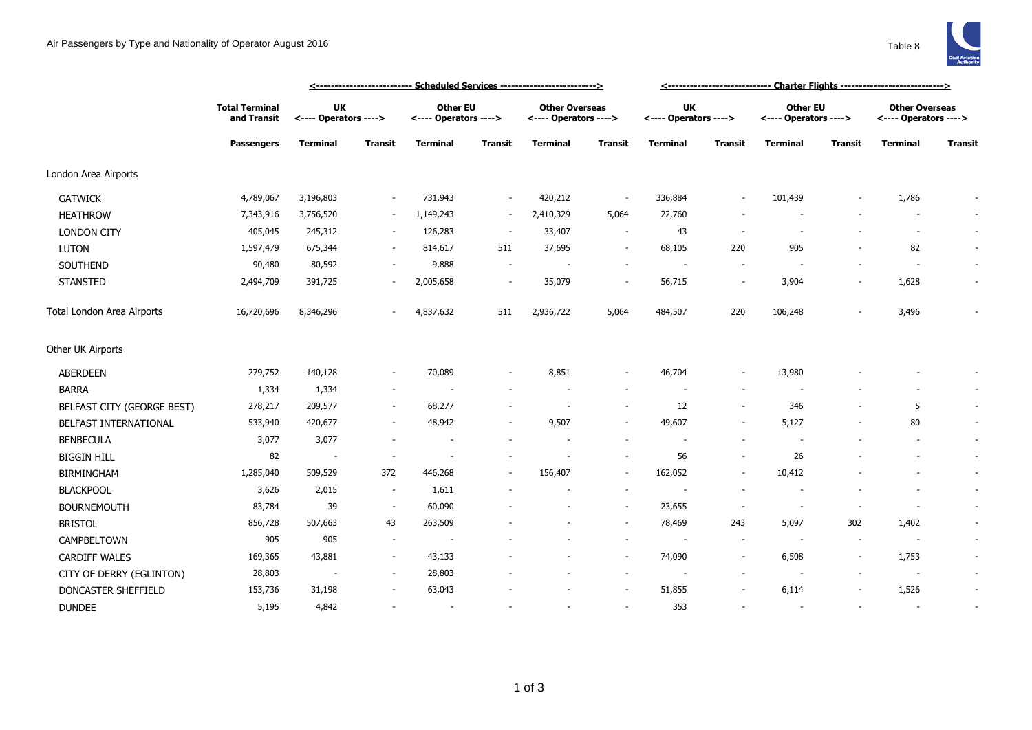## Air Passengers by Type and Nationality of Operator August 2016



|                            |                                                           |                                    | <--------------------------- Scheduled Services -------------------------> | <------------------------------ Charter Flights ----------------------------> |                          |                                                |                          |                                    |                          |                                   |                          |                                                |                |
|----------------------------|-----------------------------------------------------------|------------------------------------|----------------------------------------------------------------------------|-------------------------------------------------------------------------------|--------------------------|------------------------------------------------|--------------------------|------------------------------------|--------------------------|-----------------------------------|--------------------------|------------------------------------------------|----------------|
|                            | <b>Total Terminal</b><br>and Transit<br><b>Passengers</b> | <b>UK</b><br><---- Operators ----> |                                                                            | <b>Other EU</b><br><---- Operators ---->                                      |                          | <b>Other Overseas</b><br><---- Operators ----> |                          | <b>UK</b><br><---- Operators ----> |                          | Other EU<br><---- Operators ----> |                          | <b>Other Overseas</b><br><---- Operators ----> |                |
|                            |                                                           | Terminal                           | Transit                                                                    | <b>Terminal</b>                                                               | Transit                  | Terminal                                       | Transit                  | Terminal                           | <b>Transit</b>           | Terminal                          | Transit                  | Terminal                                       | <b>Transit</b> |
| London Area Airports       |                                                           |                                    |                                                                            |                                                                               |                          |                                                |                          |                                    |                          |                                   |                          |                                                |                |
| <b>GATWICK</b>             | 4,789,067                                                 | 3,196,803                          | $\overline{\phantom{a}}$                                                   | 731,943                                                                       | $\overline{\phantom{a}}$ | 420,212                                        | $\overline{\phantom{a}}$ | 336,884                            |                          | 101,439                           |                          | 1,786                                          |                |
| <b>HEATHROW</b>            | 7,343,916                                                 | 3,756,520                          |                                                                            | 1,149,243                                                                     | $\sim$                   | 2,410,329                                      | 5,064                    | 22,760                             |                          |                                   |                          |                                                | $\sim$         |
| <b>LONDON CITY</b>         | 405,045                                                   | 245,312                            | $\overline{\phantom{a}}$                                                   | 126,283                                                                       | $\overline{\phantom{a}}$ | 33,407                                         | $\overline{\phantom{a}}$ | 43                                 | ٠.                       |                                   |                          | $\sim$                                         | $\sim$         |
| LUTON                      | 1,597,479                                                 | 675,344                            | $\sim$                                                                     | 814,617                                                                       | 511                      | 37,695                                         | $\overline{\phantom{a}}$ | 68,105                             | 220                      | 905                               |                          | 82                                             | $\sim$         |
| SOUTHEND                   | 90,480                                                    | 80,592                             | $\sim$                                                                     | 9,888                                                                         | $\sim$                   |                                                | $\overline{\phantom{a}}$ | $\sim$                             |                          |                                   |                          | $\sim$                                         | $\sim$         |
| <b>STANSTED</b>            | 2,494,709                                                 | 391,725                            |                                                                            | 2,005,658                                                                     | $\overline{\phantom{a}}$ | 35,079                                         | $\overline{\phantom{a}}$ | 56,715                             | $\overline{a}$           | 3,904                             |                          | 1,628                                          | $\sim$         |
| Total London Area Airports | 16,720,696                                                | 8,346,296                          |                                                                            | 4,837,632                                                                     | 511                      | 2,936,722                                      | 5,064                    | 484,507                            | 220                      | 106,248                           |                          | 3,496                                          |                |
| Other UK Airports          |                                                           |                                    |                                                                            |                                                                               |                          |                                                |                          |                                    |                          |                                   |                          |                                                |                |
| ABERDEEN                   | 279,752                                                   | 140,128                            | $\overline{\phantom{a}}$                                                   | 70,089                                                                        | $\overline{\phantom{a}}$ | 8,851                                          | $\overline{\phantom{a}}$ | 46,704                             | $\overline{\phantom{a}}$ | 13,980                            |                          |                                                |                |
| <b>BARRA</b>               | 1,334                                                     | 1,334                              | $\overline{\phantom{a}}$                                                   |                                                                               |                          |                                                |                          |                                    |                          |                                   |                          |                                                |                |
| BELFAST CITY (GEORGE BEST) | 278,217                                                   | 209,577                            | $\sim$                                                                     | 68,277                                                                        |                          |                                                | $\overline{\phantom{a}}$ | 12                                 |                          | 346                               |                          | 5                                              | $\sim$         |
| BELFAST INTERNATIONAL      | 533,940                                                   | 420,677                            | $\overline{\phantom{a}}$                                                   | 48,942                                                                        |                          | 9,507                                          |                          | 49,607                             | $\sim$                   | 5,127                             |                          | 80                                             | $\sim$         |
| <b>BENBECULA</b>           | 3,077                                                     | 3,077                              |                                                                            | $\overline{\phantom{a}}$                                                      |                          |                                                |                          |                                    |                          |                                   |                          |                                                | $\sim$         |
| <b>BIGGIN HILL</b>         | 82                                                        | $\overline{\phantom{a}}$           | $\sim$                                                                     |                                                                               |                          |                                                | $\overline{\phantom{a}}$ | 56                                 | $\sim$                   | 26                                |                          |                                                | $\sim$         |
| <b>BIRMINGHAM</b>          | 1,285,040                                                 | 509,529                            | 372                                                                        | 446,268                                                                       | $\overline{\phantom{a}}$ | 156,407                                        | $\overline{\phantom{a}}$ | 162,052                            |                          | 10,412                            |                          |                                                | $\sim$         |
| <b>BLACKPOOL</b>           | 3,626                                                     | 2,015                              | $\sim$                                                                     | 1,611                                                                         |                          |                                                | $\overline{\phantom{a}}$ |                                    |                          |                                   |                          |                                                | $\sim$         |
| <b>BOURNEMOUTH</b>         | 83,784                                                    | 39                                 | $\overline{\phantom{a}}$                                                   | 60,090                                                                        |                          |                                                | $\overline{\phantom{a}}$ | 23,655                             | $\overline{\phantom{a}}$ | $\overline{\phantom{a}}$          | $\overline{\phantom{a}}$ |                                                | $\sim$         |
| <b>BRISTOL</b>             | 856,728                                                   | 507,663                            | 43                                                                         | 263,509                                                                       |                          |                                                | $\overline{\phantom{a}}$ | 78,469                             | 243                      | 5,097                             | 302                      | 1,402                                          | $\sim$         |
| CAMPBELTOWN                | 905                                                       | 905                                | $\overline{\phantom{a}}$                                                   | $\overline{\phantom{a}}$                                                      |                          |                                                | $\overline{\phantom{a}}$ |                                    | $\overline{\phantom{a}}$ |                                   |                          | $\sim$                                         | $\sim$         |
| <b>CARDIFF WALES</b>       | 169,365                                                   | 43,881                             | $\sim$                                                                     | 43,133                                                                        |                          |                                                | $\sim$                   | 74,090                             | $\overline{\phantom{a}}$ | 6,508                             |                          | 1,753                                          | $\sim$         |
| CITY OF DERRY (EGLINTON)   | 28,803                                                    |                                    | $\overline{\phantom{a}}$                                                   | 28,803                                                                        |                          |                                                | $\overline{\phantom{a}}$ |                                    |                          |                                   |                          | $\overline{\phantom{a}}$                       | $\sim$         |
| DONCASTER SHEFFIELD        | 153,736                                                   | 31,198                             |                                                                            | 63,043                                                                        |                          |                                                | $\overline{\phantom{a}}$ | 51,855                             |                          | 6,114                             |                          | 1,526                                          | $\sim$         |
| <b>DUNDEE</b>              | 5,195                                                     | 4,842                              |                                                                            | $\overline{\phantom{a}}$                                                      |                          |                                                | ÷.                       | 353                                |                          |                                   |                          |                                                | $\sim$         |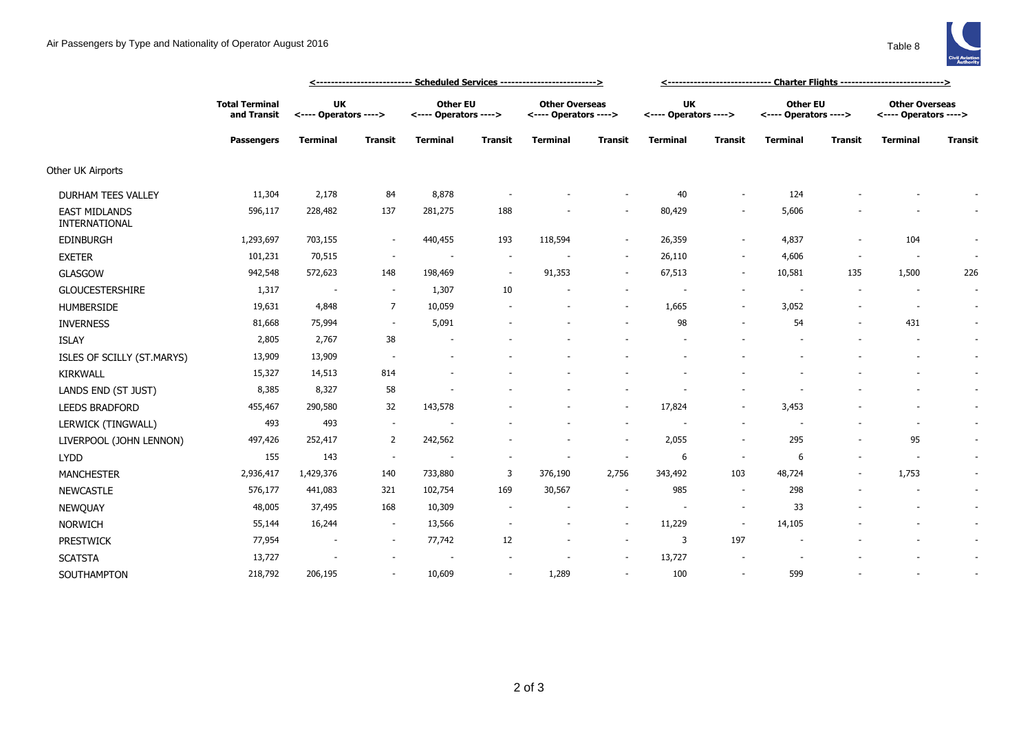

|                                       |                                                           | <u> &lt;--------------------------- Scheduled Services --------------------------&gt;</u> |                          |                                          |                          |                                                |                | <u>&lt;----------------------------- Charter Flights ----------------------------&gt;</u> |                          |                                          |                |                                                |                |
|---------------------------------------|-----------------------------------------------------------|-------------------------------------------------------------------------------------------|--------------------------|------------------------------------------|--------------------------|------------------------------------------------|----------------|-------------------------------------------------------------------------------------------|--------------------------|------------------------------------------|----------------|------------------------------------------------|----------------|
|                                       | <b>Total Terminal</b><br>and Transit<br><b>Passengers</b> | UK<br><---- Operators ---->                                                               |                          | <b>Other EU</b><br><---- Operators ----> |                          | <b>Other Overseas</b><br><---- Operators ----> |                | <b>UK</b><br><---- Operators ---->                                                        |                          | <b>Other EU</b><br><---- Operators ----> |                | <b>Other Overseas</b><br><---- Operators ----> |                |
|                                       |                                                           | <b>Terminal</b>                                                                           | <b>Transit</b>           | <b>Terminal</b>                          | <b>Transit</b>           | <b>Terminal</b>                                | <b>Transit</b> | <b>Terminal</b>                                                                           | <b>Transit</b>           | <b>Terminal</b>                          | <b>Transit</b> | <b>Terminal</b>                                | <b>Transit</b> |
| Other UK Airports                     |                                                           |                                                                                           |                          |                                          |                          |                                                |                |                                                                                           |                          |                                          |                |                                                |                |
| <b>DURHAM TEES VALLEY</b>             | 11,304                                                    | 2,178                                                                                     | 84                       | 8,878                                    |                          |                                                |                | 40                                                                                        |                          | 124                                      |                |                                                |                |
| <b>EAST MIDLANDS</b><br>INTERNATIONAL | 596,117                                                   | 228,482                                                                                   | 137                      | 281,275                                  | 188                      |                                                |                | 80,429                                                                                    |                          | 5,606                                    |                |                                                |                |
| EDINBURGH                             | 1,293,697                                                 | 703,155                                                                                   |                          | 440,455                                  | 193                      | 118,594                                        | $\sim$         | 26,359                                                                                    |                          | 4,837                                    |                | 104                                            |                |
| <b>EXETER</b>                         | 101,231                                                   | 70,515                                                                                    | $\sim$                   | $\overline{\phantom{a}}$                 | $\overline{\phantom{a}}$ |                                                | $\sim$         | 26,110                                                                                    | $\sim$                   | 4,606                                    |                | $\overline{\phantom{a}}$                       | $\sim$         |
| <b>GLASGOW</b>                        | 942,548                                                   | 572,623                                                                                   | 148                      | 198,469                                  | $\sim$                   | 91,353                                         | $\sim$         | 67,513                                                                                    | $\overline{\phantom{a}}$ | 10,581                                   | 135            | 1,500                                          | 226            |
| <b>GLOUCESTERSHIRE</b>                | 1,317                                                     | $\overline{\phantom{a}}$                                                                  | $\sim$                   | 1,307                                    | 10                       |                                                | $\sim$         |                                                                                           |                          |                                          |                |                                                | $\sim$         |
| <b>HUMBERSIDE</b>                     | 19,631                                                    | 4,848                                                                                     | $\overline{7}$           | 10,059                                   |                          |                                                | $\sim$         | 1,665                                                                                     |                          | 3,052                                    |                | $\overline{\phantom{a}}$                       | $\sim$         |
| <b>INVERNESS</b>                      | 81,668                                                    | 75,994                                                                                    | $\sim$                   | 5,091                                    |                          |                                                |                | 98                                                                                        |                          | 54                                       |                | 431                                            | $\sim$         |
| <b>ISLAY</b>                          | 2,805                                                     | 2,767                                                                                     | 38                       |                                          |                          |                                                |                |                                                                                           |                          |                                          |                |                                                | $\sim$         |
| ISLES OF SCILLY (ST.MARYS)            | 13,909                                                    | 13,909                                                                                    |                          |                                          |                          |                                                |                |                                                                                           |                          |                                          |                |                                                | $\sim$         |
| <b>KIRKWALL</b>                       | 15,327                                                    | 14,513                                                                                    | 814                      | ٠                                        |                          |                                                |                |                                                                                           |                          |                                          |                |                                                | $\sim$         |
| LANDS END (ST JUST)                   | 8,385                                                     | 8,327                                                                                     | 58                       |                                          |                          |                                                |                |                                                                                           |                          |                                          |                |                                                | $\sim$         |
| LEEDS BRADFORD                        | 455,467                                                   | 290,580                                                                                   | 32                       | 143,578                                  |                          |                                                | $\sim$         | 17,824                                                                                    |                          | 3,453                                    |                | $\overline{a}$                                 | $\sim$         |
| LERWICK (TINGWALL)                    | 493                                                       | 493                                                                                       | $\overline{\phantom{a}}$ |                                          |                          |                                                | $\sim$         |                                                                                           |                          |                                          |                |                                                | $\sim$         |
| LIVERPOOL (JOHN LENNON)               | 497,426                                                   | 252,417                                                                                   | 2                        | 242,562                                  |                          |                                                | $\sim$         | 2,055                                                                                     |                          | 295                                      |                | 95                                             |                |
| <b>LYDD</b>                           | 155                                                       | 143                                                                                       | $\sim$                   |                                          |                          |                                                |                | 6                                                                                         | $\overline{\phantom{a}}$ | 6                                        |                | $\overline{\phantom{a}}$                       | $\sim$         |
| <b>MANCHESTER</b>                     | 2,936,417                                                 | 1,429,376                                                                                 | 140                      | 733,880                                  | 3                        | 376,190                                        | 2,756          | 343,492                                                                                   | 103                      | 48,724                                   |                | 1,753                                          | $\sim$         |
| <b>NEWCASTLE</b>                      | 576,177                                                   | 441,083                                                                                   | 321                      | 102,754                                  | 169                      | 30,567                                         |                | 985                                                                                       | $\sim$                   | 298                                      |                |                                                | $\sim$         |
| NEWQUAY                               | 48,005                                                    | 37,495                                                                                    | 168                      | 10,309                                   |                          |                                                | $\sim$         | $\sim$                                                                                    | $\overline{\phantom{a}}$ | 33                                       |                | $\sim$                                         | $\sim$         |
| <b>NORWICH</b>                        | 55,144                                                    | 16,244                                                                                    | $\sim$                   | 13,566                                   |                          |                                                | $\sim$         | 11,229                                                                                    | $\overline{\phantom{a}}$ | 14,105                                   |                |                                                | $\sim$         |
| <b>PRESTWICK</b>                      | 77,954                                                    | $\overline{\phantom{a}}$                                                                  | $\sim$                   | 77,742                                   | 12                       |                                                | $\sim$         | 3                                                                                         | 197                      |                                          |                |                                                | $\sim$         |
| <b>SCATSTA</b>                        | 13,727                                                    |                                                                                           |                          |                                          |                          |                                                | $\sim$         | 13,727                                                                                    |                          |                                          |                |                                                | $\sim$         |
| SOUTHAMPTON                           | 218,792                                                   | 206,195                                                                                   |                          | 10,609                                   |                          | 1,289                                          |                | 100                                                                                       |                          | 599                                      |                |                                                |                |